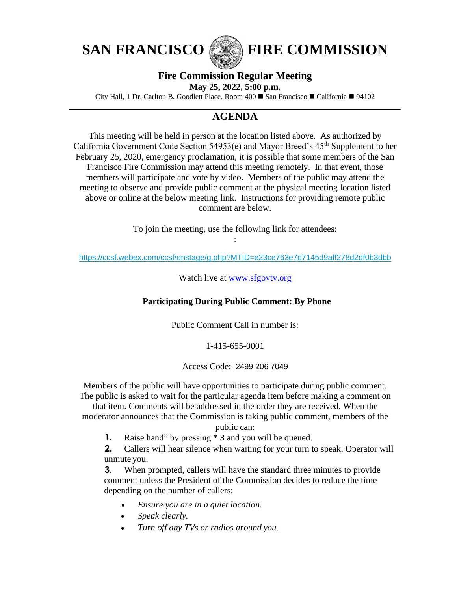



SAN FRANCISCO (**FIRE COMMISSION** 

# **Fire Commission Regular Meeting**

**May 25, 2022, 5:00 p.m.**

City Hall, 1 Dr. Carlton B. Goodlett Place, Room 400 ◼ San Francisco ◼ California ◼ 94102

# **AGENDA**

This meeting will be held in person at the location listed above. As authorized by California Government Code Section 54953(e) and Mayor Breed's  $45<sup>th</sup>$  Supplement to her February 25, 2020, emergency proclamation, it is possible that some members of the San Francisco Fire Commission may attend this meeting remotely. In that event, those members will participate and vote by video. Members of the public may attend the meeting to observe and provide public comment at the physical meeting location listed above or online at the below meeting link. Instructions for providing remote public comment are below.

> To join the meeting, use the following link for attendees: :

<https://ccsf.webex.com/ccsf/onstage/g.php?MTID=e23ce763e7d7145d9aff278d2df0b3dbb>

Watch live at www.sfgovty.org

### **Participating During Public Comment: By Phone**

Public Comment Call in number is:

### 1-415-655-0001

#### Access Code: 2499 206 7049

Members of the public will have opportunities to participate during public comment. The public is asked to wait for the particular agenda item before making a comment on

that item. Comments will be addressed in the order they are received. When the moderator announces that the Commission is taking public comment, members of the

public can:

**1.** Raise hand" by pressing **\* 3** and you will be queued.

**2.** Callers will hear silence when waiting for your turn to speak. Operator will unmute you.

**3.** When prompted, callers will have the standard three minutes to provide comment unless the President of the Commission decides to reduce the time depending on the number of callers:

- *Ensure you are in a quiet location.*
- *Speak clearly.*
- *Turn off any TVs or radios around you.*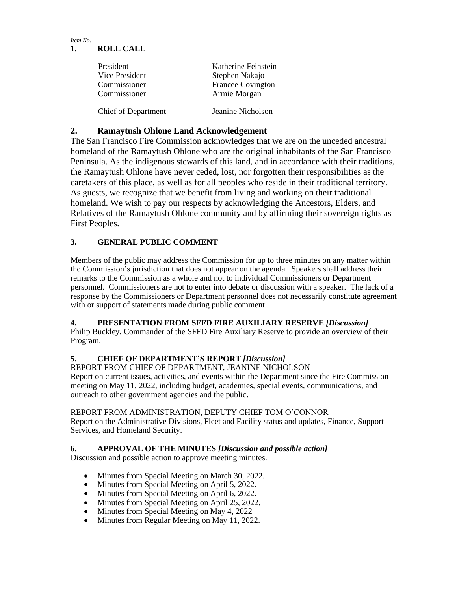#### *Item No.* **1. ROLL CALL**

| President                  | Katherine Feinstein      |
|----------------------------|--------------------------|
| Vice President             | Stephen Nakajo           |
| Commissioner               | <b>Francee Covington</b> |
| Commissioner               | Armie Morgan             |
| <b>Chief of Department</b> | Jeanine Nicholson        |

### **2. Ramaytush Ohlone Land Acknowledgement**

The San Francisco Fire Commission acknowledges that we are on the unceded ancestral homeland of the Ramaytush Ohlone who are the original inhabitants of the San Francisco Peninsula. As the indigenous stewards of this land, and in accordance with their traditions, the Ramaytush Ohlone have never ceded, lost, nor forgotten their responsibilities as the caretakers of this place, as well as for all peoples who reside in their traditional territory. As guests, we recognize that we benefit from living and working on their traditional homeland. We wish to pay our respects by acknowledging the Ancestors, Elders, and Relatives of the Ramaytush Ohlone community and by affirming their sovereign rights as First Peoples.

## **3. GENERAL PUBLIC COMMENT**

Members of the public may address the Commission for up to three minutes on any matter within the Commission's jurisdiction that does not appear on the agenda. Speakers shall address their remarks to the Commission as a whole and not to individual Commissioners or Department personnel. Commissioners are not to enter into debate or discussion with a speaker. The lack of a response by the Commissioners or Department personnel does not necessarily constitute agreement with or support of statements made during public comment.

### **4. PRESENTATION FROM SFFD FIRE AUXILIARY RESERVE** *[Discussion]*

Philip Buckley, Commander of the SFFD Fire Auxiliary Reserve to provide an overview of their Program.

### **5. CHIEF OF DEPARTMENT'S REPORT** *[Discussion]*

REPORT FROM CHIEF OF DEPARTMENT, JEANINE NICHOLSON Report on current issues, activities, and events within the Department since the Fire Commission meeting on May 11, 2022, including budget, academies, special events, communications, and outreach to other government agencies and the public.

### REPORT FROM ADMINISTRATION, DEPUTY CHIEF TOM O'CONNOR

Report on the Administrative Divisions, Fleet and Facility status and updates, Finance, Support Services, and Homeland Security.

### **6. APPROVAL OF THE MINUTES** *[Discussion and possible action]*

Discussion and possible action to approve meeting minutes.

- Minutes from Special Meeting on March 30, 2022.
- Minutes from Special Meeting on April 5, 2022.
- Minutes from Special Meeting on April 6, 2022.
- Minutes from Special Meeting on April 25, 2022.
- Minutes from Special Meeting on May 4, 2022
- Minutes from Regular Meeting on May 11, 2022.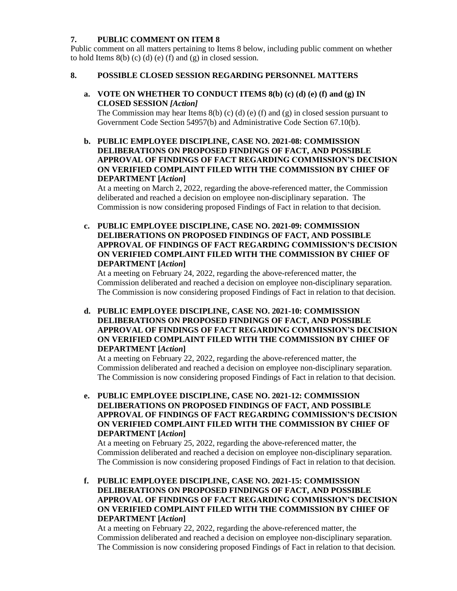#### **7. PUBLIC COMMENT ON ITEM 8**

Public comment on all matters pertaining to Items 8 below, including public comment on whether to hold Items  $8(b)$  (c) (d) (e) (f) and (g) in closed session.

#### **8. POSSIBLE CLOSED SESSION REGARDING PERSONNEL MATTERS**

**a. VOTE ON WHETHER TO CONDUCT ITEMS 8(b) (c) (d) (e) (f) and (g) IN CLOSED SESSION** *[Action]*

The Commission may hear Items  $8(b)$  (c) (d) (e) (f) and (g) in closed session pursuant to Government Code Section 54957(b) and Administrative Code Section 67.10(b).

**b. PUBLIC EMPLOYEE DISCIPLINE, CASE NO. 2021-08: COMMISSION DELIBERATIONS ON PROPOSED FINDINGS OF FACT, AND POSSIBLE APPROVAL OF FINDINGS OF FACT REGARDING COMMISSION'S DECISION ON VERIFIED COMPLAINT FILED WITH THE COMMISSION BY CHIEF OF DEPARTMENT [***Action***]** 

At a meeting on March 2, 2022, regarding the above-referenced matter, the Commission deliberated and reached a decision on employee non-disciplinary separation. The Commission is now considering proposed Findings of Fact in relation to that decision.

**c. PUBLIC EMPLOYEE DISCIPLINE, CASE NO. 2021-09: COMMISSION DELIBERATIONS ON PROPOSED FINDINGS OF FACT, AND POSSIBLE APPROVAL OF FINDINGS OF FACT REGARDING COMMISSION'S DECISION ON VERIFIED COMPLAINT FILED WITH THE COMMISSION BY CHIEF OF DEPARTMENT [***Action***]** 

At a meeting on February 24, 2022, regarding the above-referenced matter, the Commission deliberated and reached a decision on employee non-disciplinary separation. The Commission is now considering proposed Findings of Fact in relation to that decision.

**d. PUBLIC EMPLOYEE DISCIPLINE, CASE NO. 2021-10: COMMISSION DELIBERATIONS ON PROPOSED FINDINGS OF FACT, AND POSSIBLE APPROVAL OF FINDINGS OF FACT REGARDING COMMISSION'S DECISION ON VERIFIED COMPLAINT FILED WITH THE COMMISSION BY CHIEF OF DEPARTMENT [***Action***]** 

At a meeting on February 22, 2022, regarding the above-referenced matter, the Commission deliberated and reached a decision on employee non-disciplinary separation. The Commission is now considering proposed Findings of Fact in relation to that decision.

**e. PUBLIC EMPLOYEE DISCIPLINE, CASE NO. 2021-12: COMMISSION DELIBERATIONS ON PROPOSED FINDINGS OF FACT, AND POSSIBLE APPROVAL OF FINDINGS OF FACT REGARDING COMMISSION'S DECISION ON VERIFIED COMPLAINT FILED WITH THE COMMISSION BY CHIEF OF DEPARTMENT [***Action***]** 

At a meeting on February 25, 2022, regarding the above-referenced matter, the Commission deliberated and reached a decision on employee non-disciplinary separation. The Commission is now considering proposed Findings of Fact in relation to that decision.

**f. PUBLIC EMPLOYEE DISCIPLINE, CASE NO. 2021-15: COMMISSION DELIBERATIONS ON PROPOSED FINDINGS OF FACT, AND POSSIBLE APPROVAL OF FINDINGS OF FACT REGARDING COMMISSION'S DECISION ON VERIFIED COMPLAINT FILED WITH THE COMMISSION BY CHIEF OF DEPARTMENT [***Action***]** 

At a meeting on February 22, 2022, regarding the above-referenced matter, the Commission deliberated and reached a decision on employee non-disciplinary separation. The Commission is now considering proposed Findings of Fact in relation to that decision.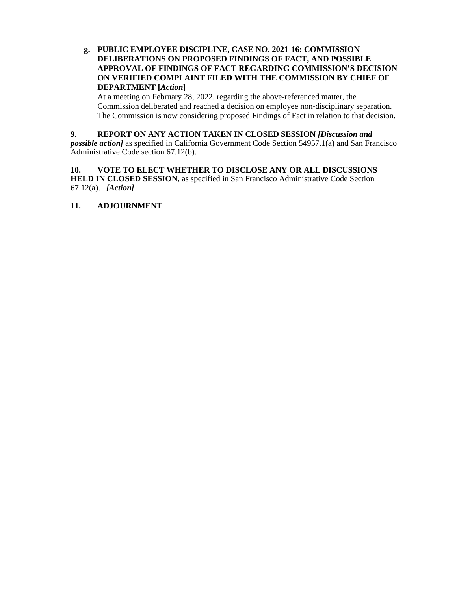#### **g. PUBLIC EMPLOYEE DISCIPLINE, CASE NO. 2021-16: COMMISSION DELIBERATIONS ON PROPOSED FINDINGS OF FACT, AND POSSIBLE APPROVAL OF FINDINGS OF FACT REGARDING COMMISSION'S DECISION ON VERIFIED COMPLAINT FILED WITH THE COMMISSION BY CHIEF OF DEPARTMENT [***Action***]**

At a meeting on February 28, 2022, regarding the above-referenced matter, the Commission deliberated and reached a decision on employee non-disciplinary separation. The Commission is now considering proposed Findings of Fact in relation to that decision.

#### **9. REPORT ON ANY ACTION TAKEN IN CLOSED SESSION** *[Discussion and*

*possible action]* as specified in California Government Code Section 54957.1(a) and San Francisco Administrative Code section 67.12(b).

#### **10. VOTE TO ELECT WHETHER TO DISCLOSE ANY OR ALL DISCUSSIONS HELD IN CLOSED SESSION**, as specified in San Francisco Administrative Code Section 67.12(a). *[Action]*

#### **11. ADJOURNMENT**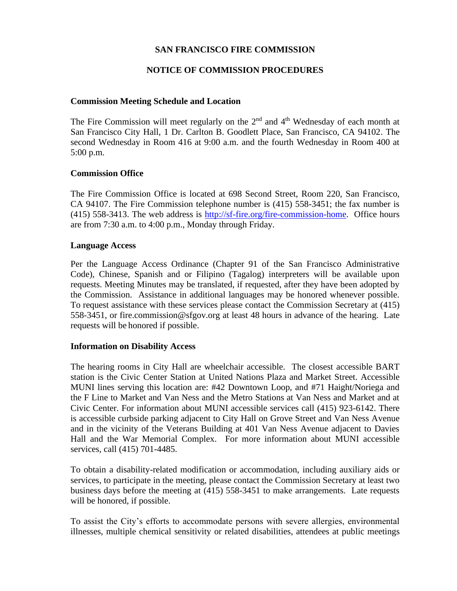### **SAN FRANCISCO FIRE COMMISSION**

### **NOTICE OF COMMISSION PROCEDURES**

#### **Commission Meeting Schedule and Location**

The Fire Commission will meet regularly on the  $2<sup>nd</sup>$  and  $4<sup>th</sup>$  Wednesday of each month at San Francisco City Hall, 1 Dr. Carlton B. Goodlett Place, San Francisco, CA 94102. The second Wednesday in Room 416 at 9:00 a.m. and the fourth Wednesday in Room 400 at 5:00 p.m.

#### **Commission Office**

The Fire Commission Office is located at 698 Second Street, Room 220, San Francisco, CA 94107. The Fire Commission telephone number is (415) 558-3451; the fax number is (415) 558-3413. The web address is [http://sf-fire.org/fire-commission-home.](http://sf-fire.org/fire-commission-home) Office hours are from 7:30 a.m. to 4:00 p.m., Monday through Friday.

#### **Language Access**

Per the Language Access Ordinance (Chapter 91 of the San Francisco Administrative Code), Chinese, Spanish and or Filipino (Tagalog) interpreters will be available upon requests. Meeting Minutes may be translated, if requested, after they have been adopted by the Commission. Assistance in additional languages may be honored whenever possible. To request assistance with these services please contact the Commission Secretary at (415) 558-3451, or fire.commission@sfgov.org at least 48 hours in advance of the hearing. Late requests will be honored if possible.

#### **Information on Disability Access**

The hearing rooms in City Hall are wheelchair accessible. The closest accessible BART station is the Civic Center Station at United Nations Plaza and Market Street. Accessible MUNI lines serving this location are: #42 Downtown Loop, and #71 Haight/Noriega and the F Line to Market and Van Ness and the Metro Stations at Van Ness and Market and at Civic Center. For information about MUNI accessible services call (415) 923-6142. There is accessible curbside parking adjacent to City Hall on Grove Street and Van Ness Avenue and in the vicinity of the Veterans Building at 401 Van Ness Avenue adjacent to Davies Hall and the War Memorial Complex. For more information about MUNI accessible services, call (415) 701-4485.

To obtain a disability-related modification or accommodation, including auxiliary aids or services, to participate in the meeting, please contact the Commission Secretary at least two business days before the meeting at (415) 558-3451 to make arrangements. Late requests will be honored, if possible.

To assist the City's efforts to accommodate persons with severe allergies, environmental illnesses, multiple chemical sensitivity or related disabilities, attendees at public meetings